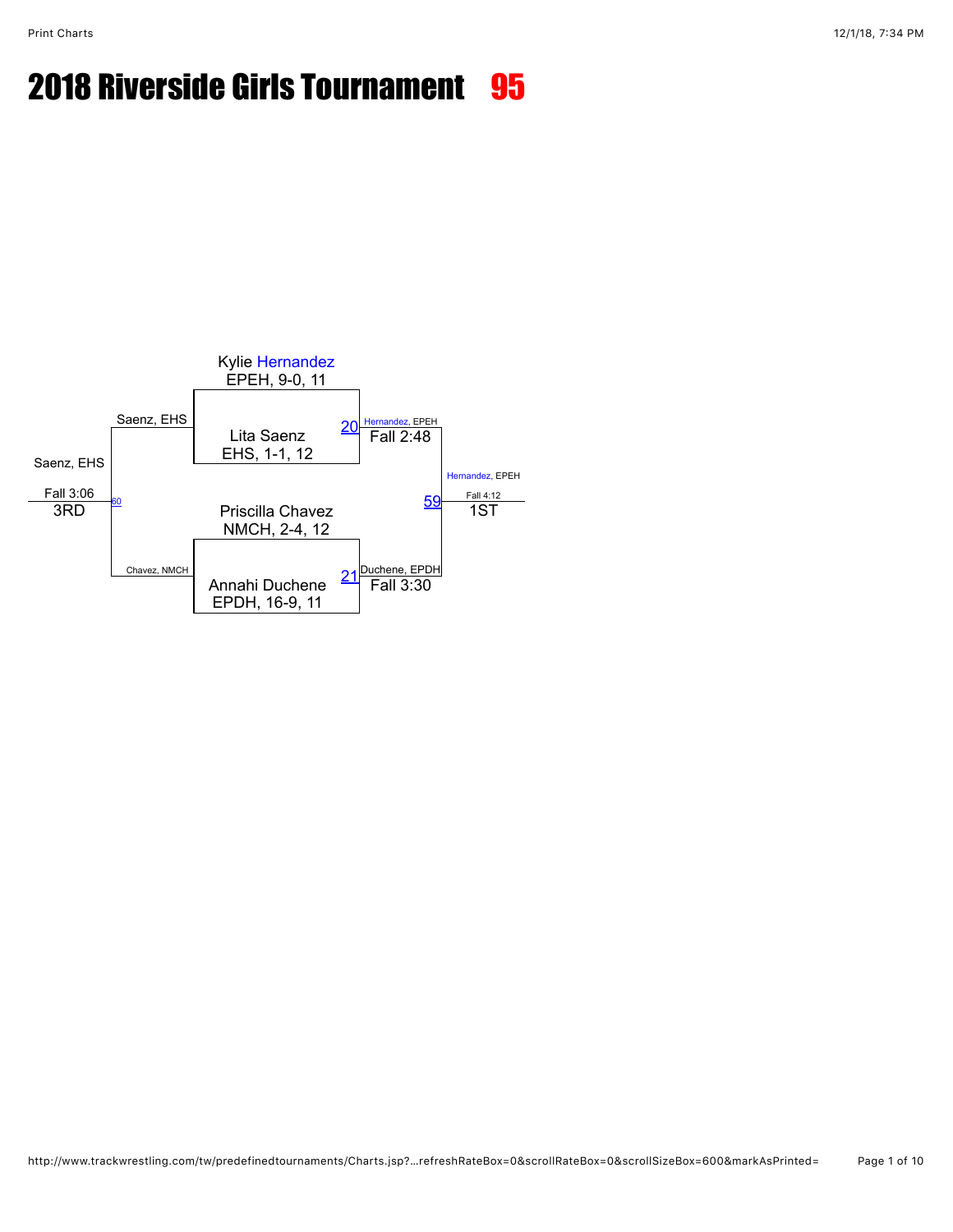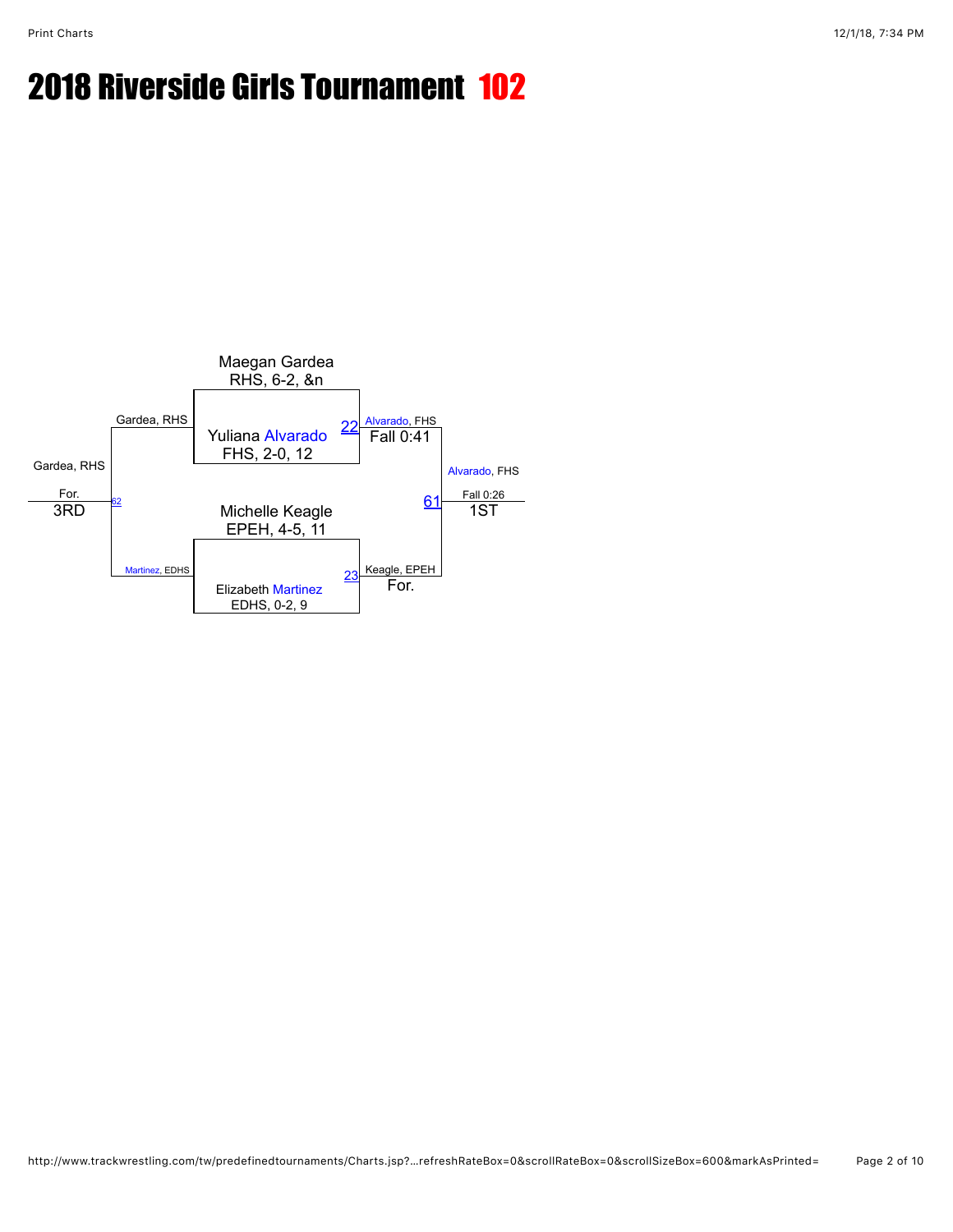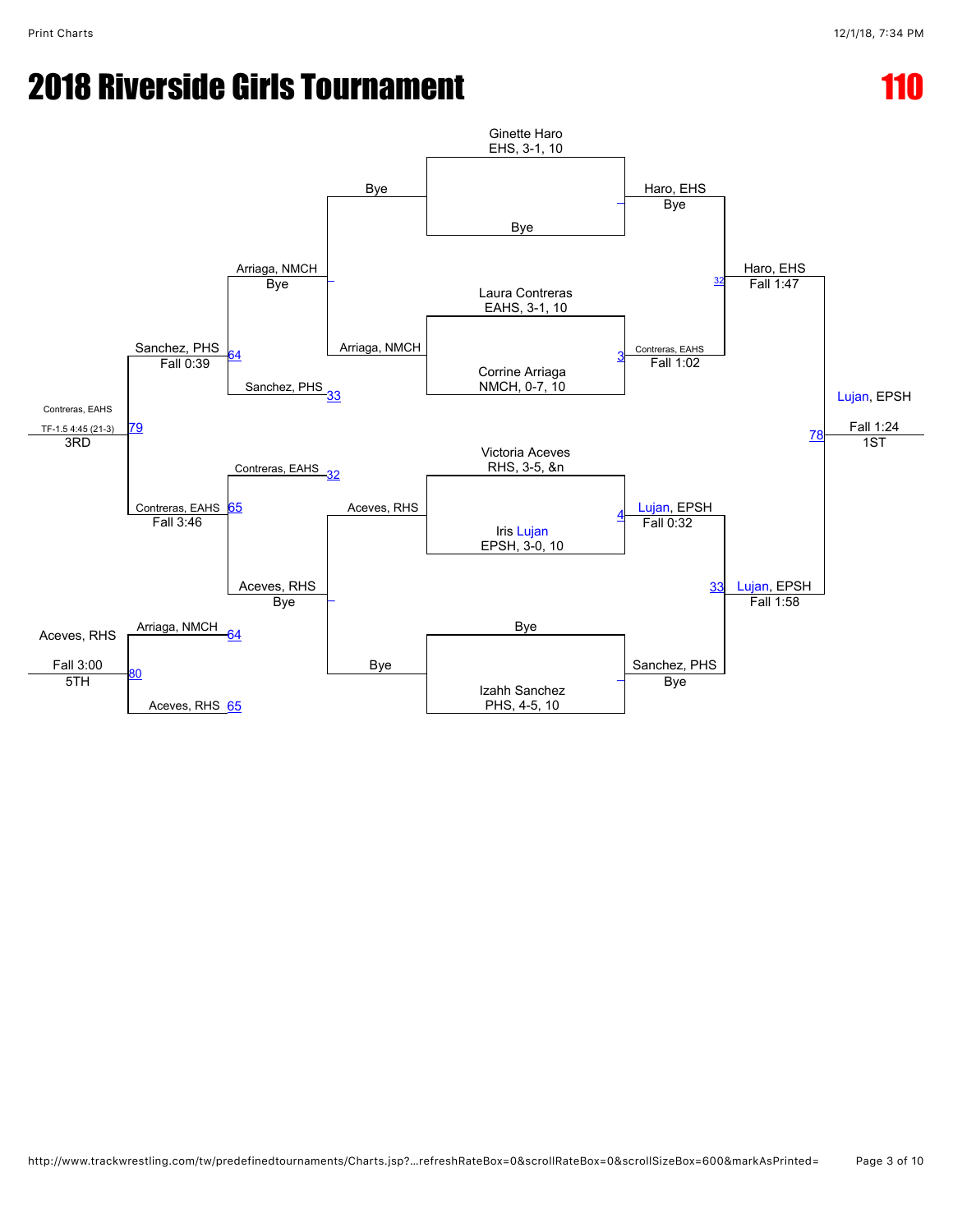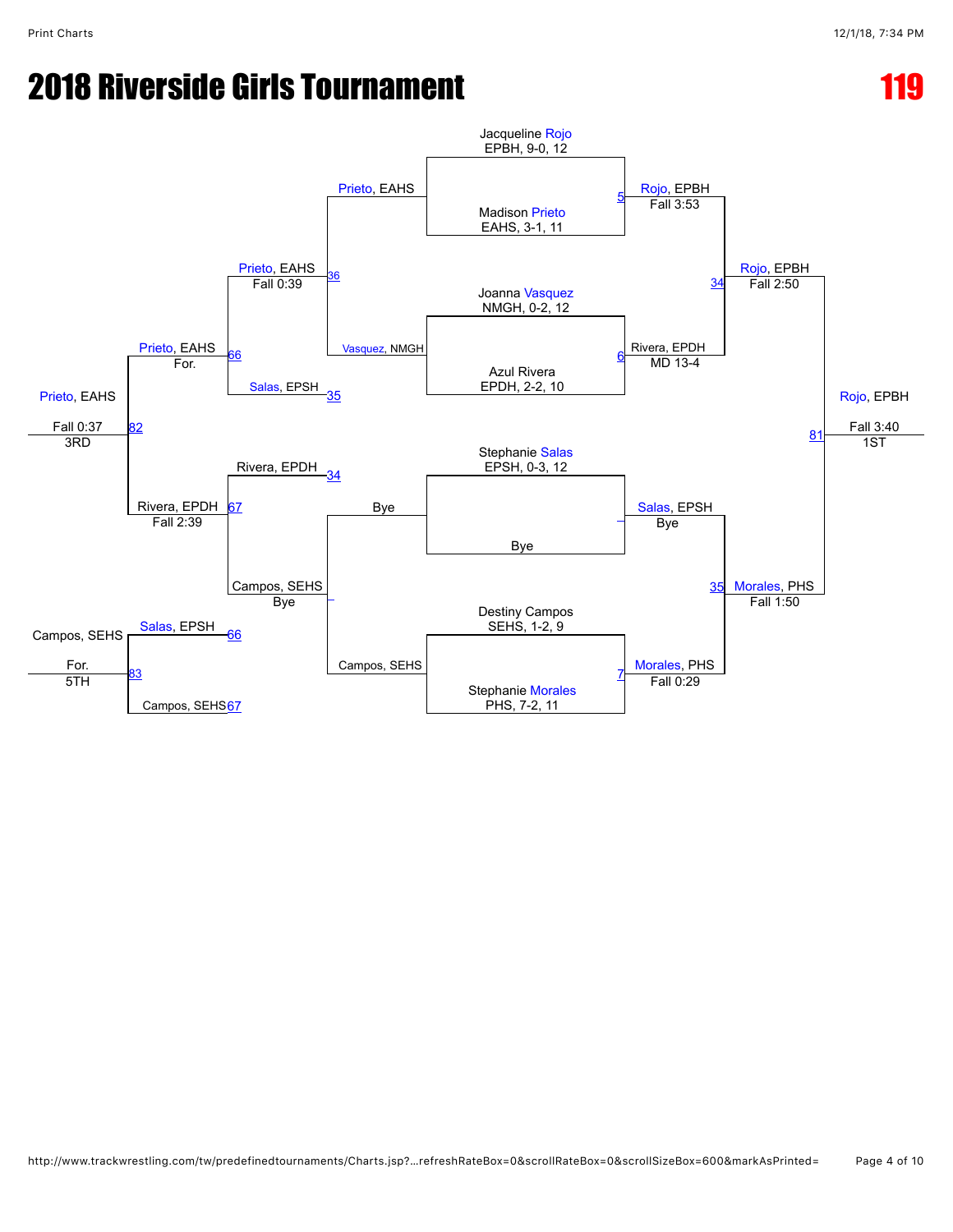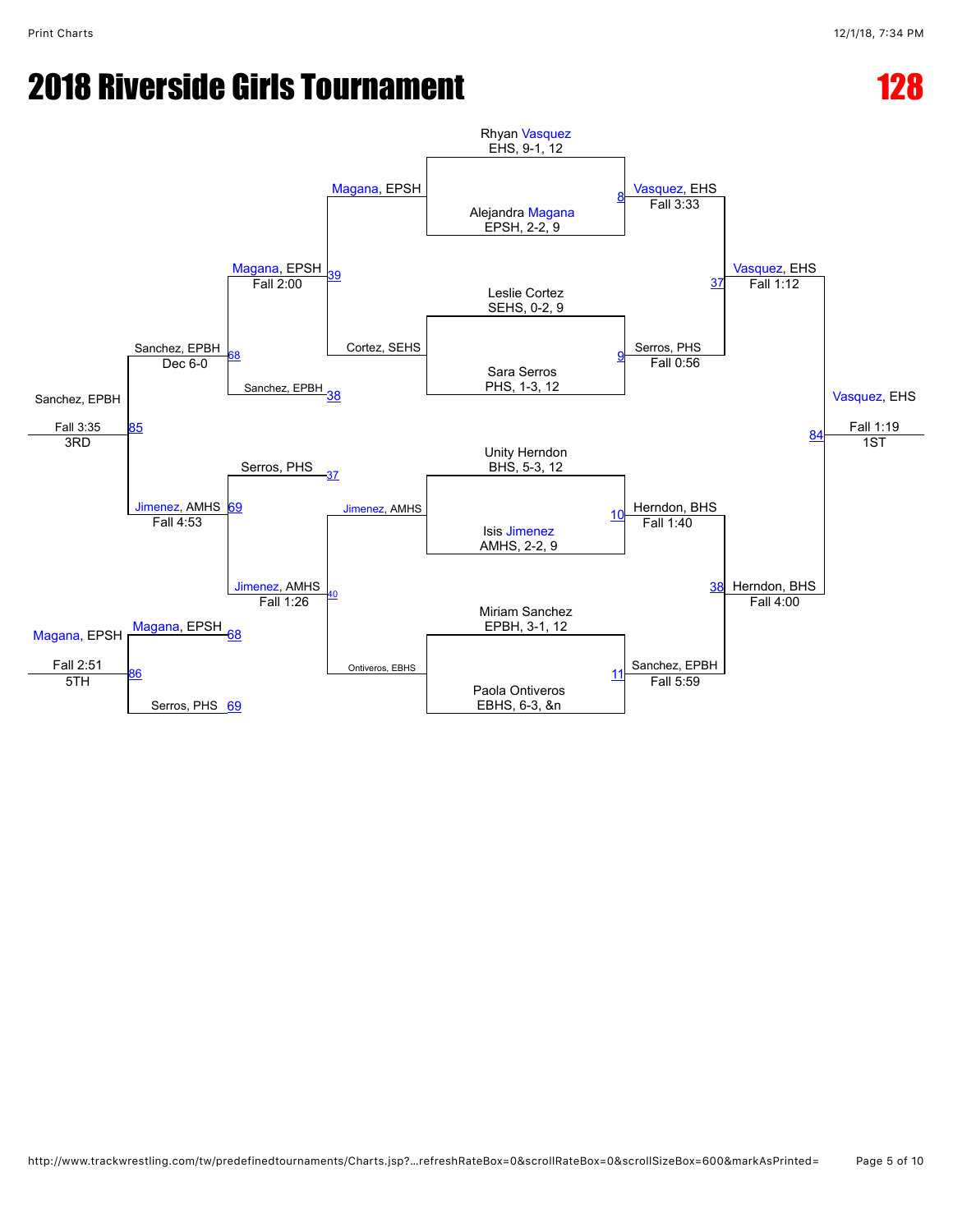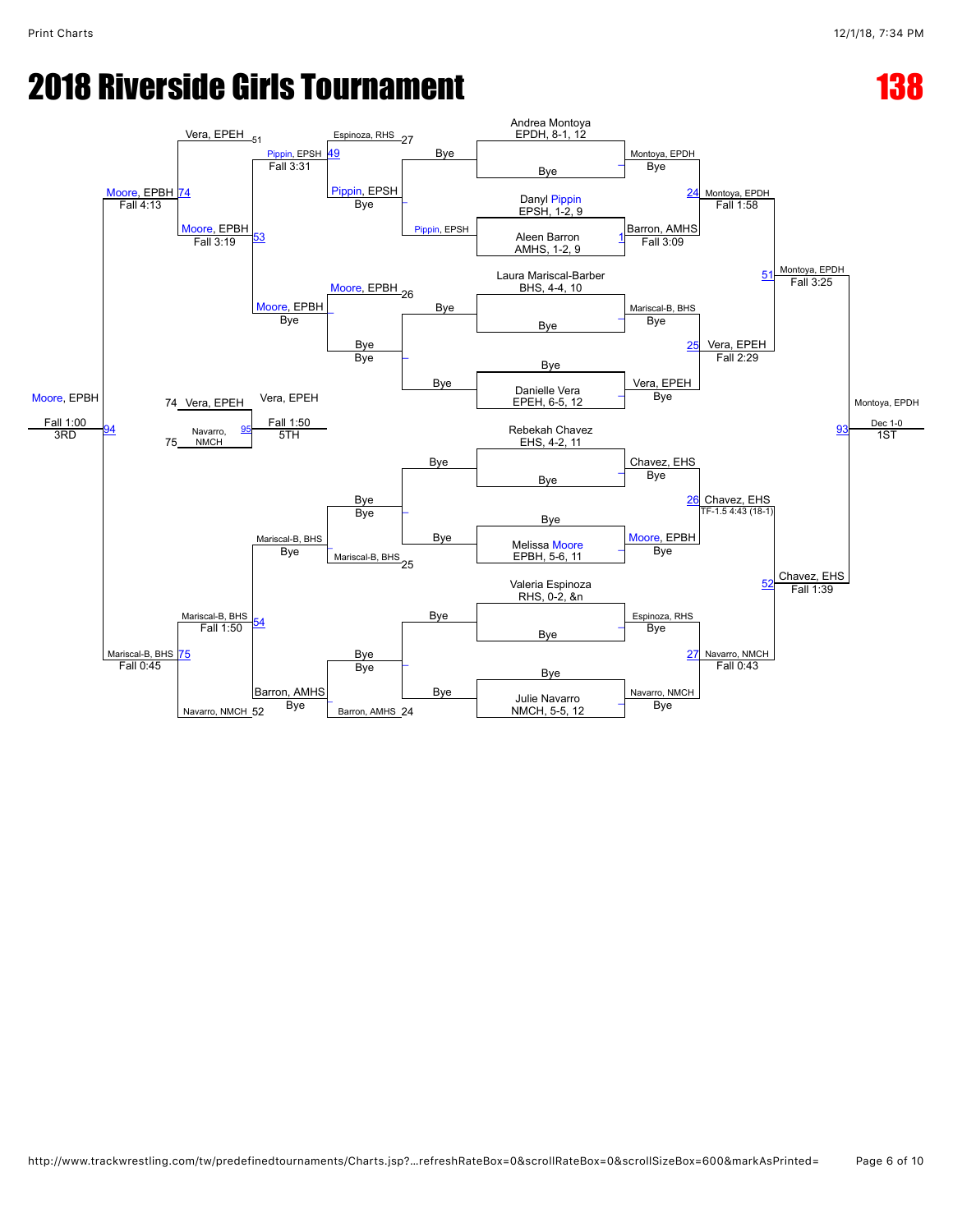#### **2018 Riverside Girls Tournament 138 and 138 and 138 and 138 and 138 and 138 and 138 and 138 and 138 and 138 and 138 and 138 and 138 and 138 and 138 and 138 and 138 and 138 and 138 and 138 and 138 and 138 and 138 and 138 a**

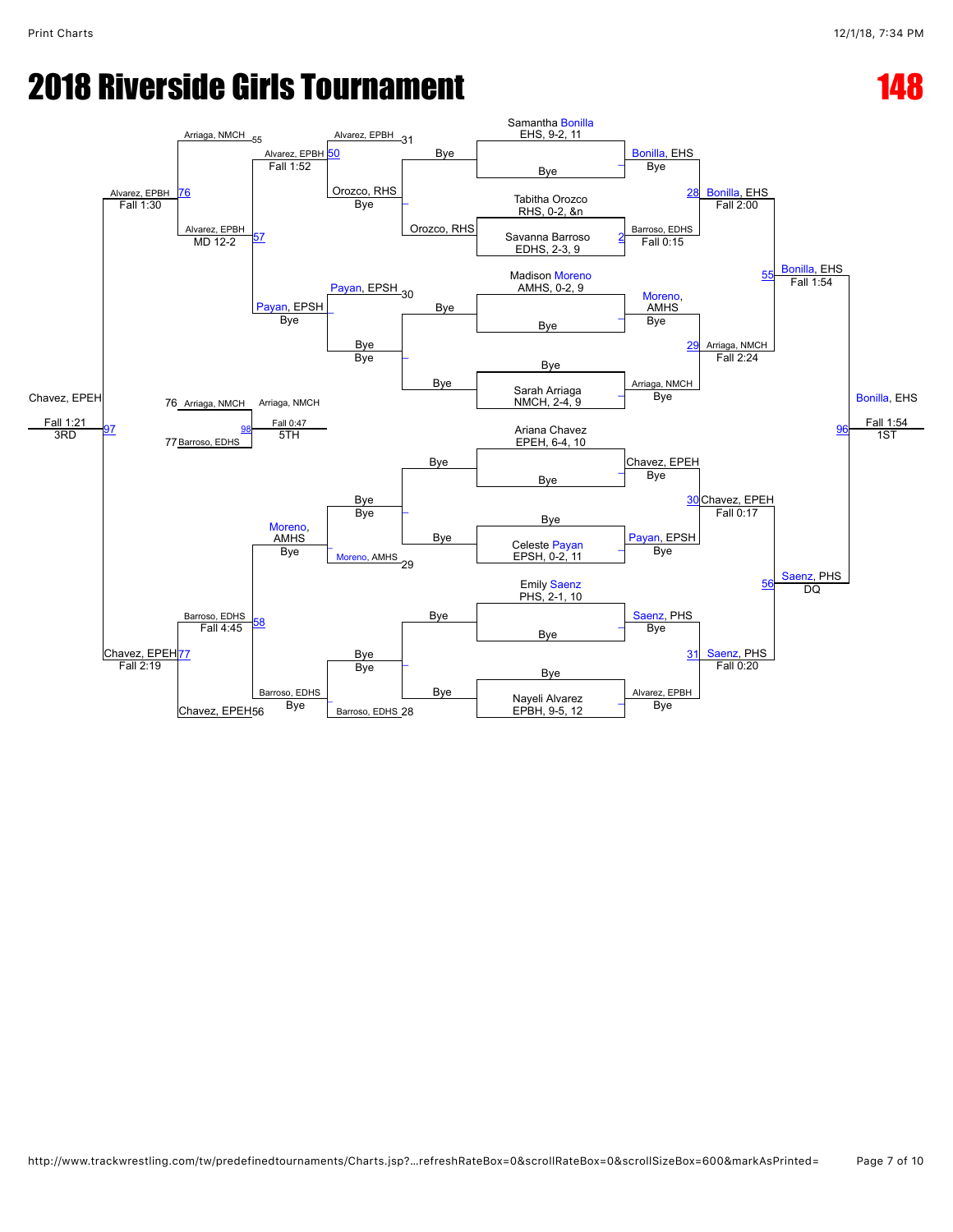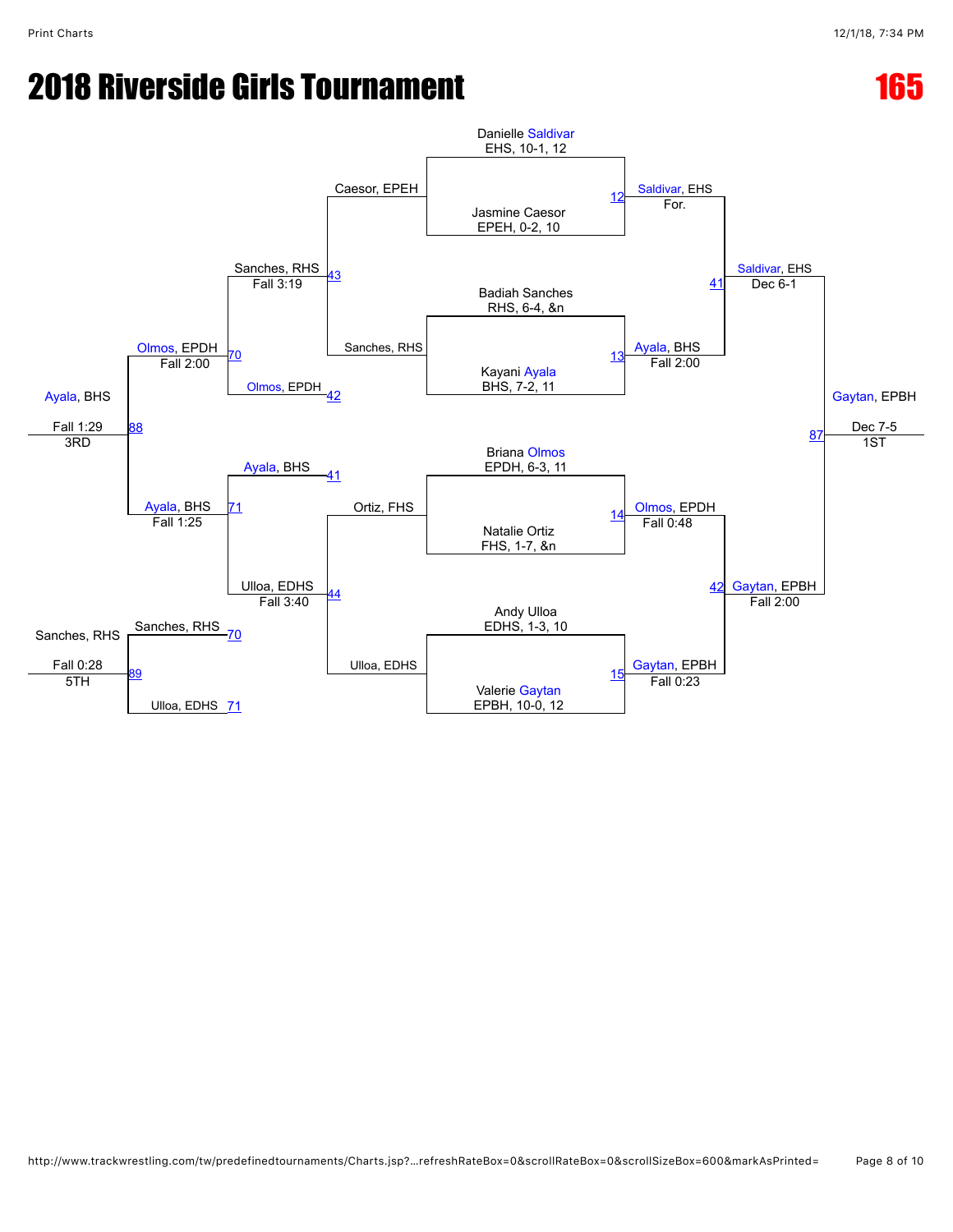# **2018 Riverside Girls Tournament 165 and 165 and 165 and 165 and 165 and 165 and 165 and 165 and 165 and 165 and 165 and 165 and 167 and 167 and 167 and 167 and 167 and 167 and 167 and 167 and 168 and 168 and 169 and 169 a**

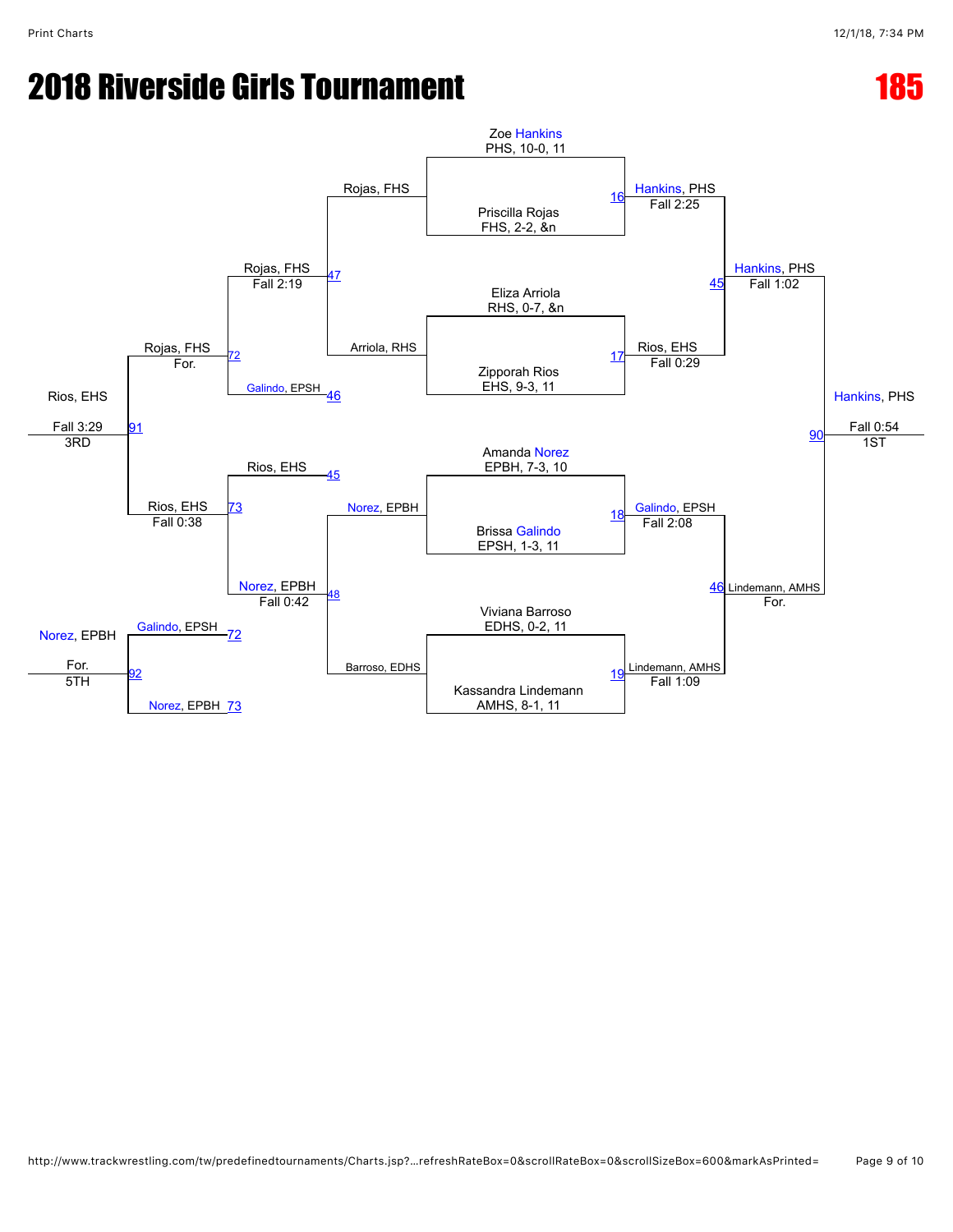